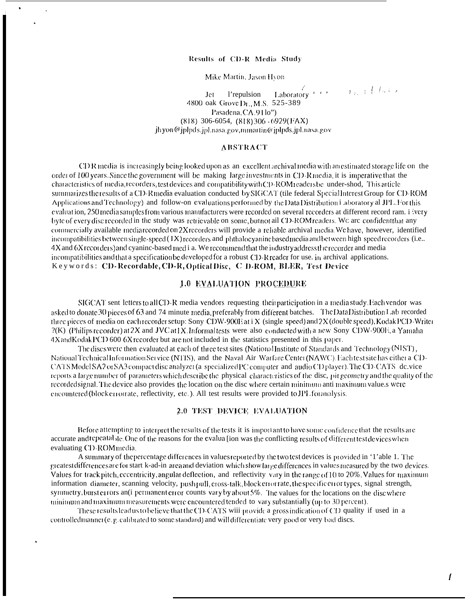# Results of CD-R Media Study

Mike Martin, Jason Hyon

**Jet** l'repulsion 4800 oak Grove D<sub>L</sub>, M.S. 525-389 Pasadena, CA. 91lo")  $(818)$  306-6054,  $(818)$  306 - 6929(FAX) ih yon@jplpds.jpl.nasa.gov.mmartin@jplpds.jpl.nasa.gov

#### **ABSTRACT**

CDR media is increasingly being looked upon as an excellent archival media with an estimated storage life on the order of 100 years. Since the government will be making large investments in CD-R media, it is imperative that the characteristics of media, record ers, test devices and compatibility with CD-ROM readers be under-shod. This article summarizes the results of a CD-R media evaluation conducted by SIGCAT (tile federal Special Interest Group for CD-ROM Applications and Technology) and follow-on evaluations performed by the Data Distribution i aboratory al JPL. For this evaluation, 250 media samples from various manufacturers were recorded on several recorders at different record ram. i very byte of every discrecorded in the study was retrievable on some but not ail CD-ROM readers. We are confident that any commercially available media recorded on 2X recorders will provide a reliable archival media. We have, however, identified incompatibilities between single-speed (1X) recorders and phthalocyanine based media and between high-speed recorders (i.e., 4X and 6X recorders) and evanine-based med i a. We recommend that the industry address the recorder and media incompatibilities and that a specification be developed for a robust  $CD-R$  reader for use, in archival applications. Keywords: CD-Recordable, CD-R, Optical Disc, C D-ROM, BLER, Test Device

# 1.0 EVALUATION PROCEDURE

SIGCAT sent letters to all CD-R media vendors requesting their participation in a media study. Each vendor was asked to donate 30 pieces of 63 and 74 minute media, preferably from different batches. The Data Distribution Lab recorded three pieces of media on each recorder setup: Sony CDW-900E at i X (single speed) and 2X (double speed), Kodak PCD-Writer ?(K) (Philips recorder) at 2X and JVC at 1X. Informal tests were also conducted with a new Sony CDW-900E, a Yamaha 4X and Kodak PCD 600 6X recorder but are not included in the statistics presented in this paper.

The discs were then evaluated at each of three test sites (National Institute of Standards and Technology (NIST), National Technical Information Service (NTIS), and the Naval Air Warfare Center (NAWC). Each test site has either a CD-CATS Model SA2 or SA3 compact disc analyzer (a specialized PC computer and audio CD player). The CD-CATS dc.vice reports a large number of parameters which describe the physical characteristics of the disc, pit geometry and the quality of the recorded signal. The device also provides the location on the disc where certain minimum anti-maximum value s were encountered(block errorrate, reflectivity, etc.). All test results were provided to JPL for analysis.

#### 2.0 TEST DEVICE EVALUATION

Before attempting to interpret the results of the tests it is important to have some confidence that the results are accurate and repeatable. One of the reasons for the evalua [ion was the conflicting results of different test devices when evaluating CD-ROMmedia.

A summary of the percentage differences in values reported by the two test devices is provided in '1'able 1. The greatest differences are for start k-ad-in area and deviation which showlarge differences in values measured by the two devices. Values for track pitch, eccentricity, angular deflection, and reflectivity vary in the range of 10 to 20%. Values for maximum information diameter, scanning velocity, push pull, cross-talk, block error rate, the specific error types, signal strength, symmetry, burst errors an(i permanent error counts vary by about 5%. The values for the locations on the disc where minituum and maximum measurements were encountered tended to vary substantially (up to 30 percent).

These results lead us to believe that the CD-CATS wiii provide a gross indication of CD quality if used in a controlled manner( $c, p,$  calibrated to some standard) and will differentiate very good or very bad discs.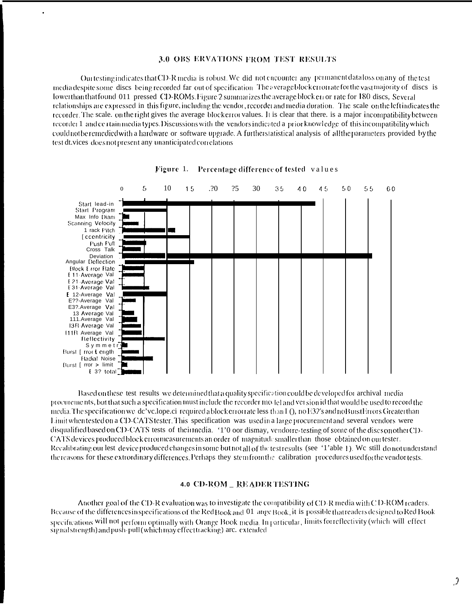#### 3.0 OBS ERVATIONS FROM TEST RESULTS

٠

Our testing indicates that CD-R media is robust. We did not encounter any permanent data loss on any of the test media despite some discs being recorded far out of specification. The averageblock erroriate for the vast majority of discs is lower than that found 011 pressed CD-ROMs. Figure 2 summarizes the average block cu or rate for 180 discs, Several relationships are expressed in this figure, including the vendor, recorder and media duration. The scale on the left indicates the recorder. The scale, on the right gives the average block error values. It is clear that there, is a major incompatibility between recorder 1 and certain media types. Discussions with the vendors indicated a prior knowledge of this incompatibility which could not be remedied with a hardware or software upgrade. A further statistical analysis of all the parameters provided by the test dt.vices does not present any unanticipated correlations.





Based on these test results we determined that a quality specification could be developed for archival media procurements, but that such a specification must include the recorder model and version id that would be used to record the media. The specification we de'velope.ci required a block error rate less than I (), no E32's and no Burst Errors Greater than Limit when tested on a CD-CATS tester. This specification was used in a large procurement and several vendors were disqualified based on CD-CATS tests of theirmedia. '1'0 oor dismay, vendore-testing of some of the discs on other CD-CATS devices produced block error measurements an order of magnitude smaller than those obtained on our tester. Recalibrating our lest device produced changes in some but not all of the test results (see '1'able 1). We still do not understand the reasons for these extrordinary differences. Perhaps they stem from the calibration procedures used for the vendor tests.

#### **4.0 CD-ROM \_ READER TESTING**

Another goal of the CD-R evaluation was to investigate the compatibility of CD-R media with CD-ROM readers. Because of the differences inspecifications of the Red Book and 01 ange Book, it is possible that readers designed to Red Book specifications will not perform optimally with Orange Book media. In particular, limits for reflectivity (which will effect signal strength) and push-pull (which may effect tracking) are. extended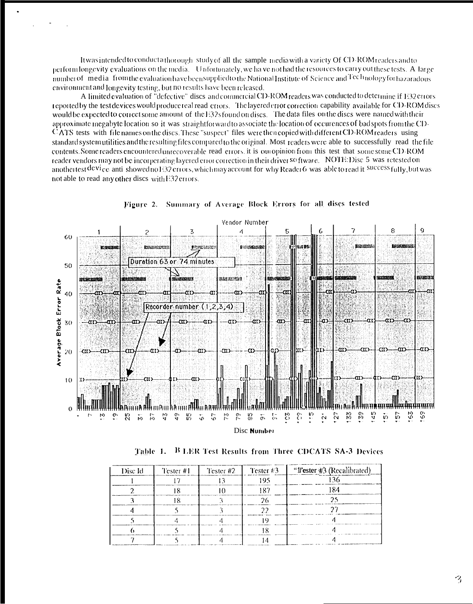It was intended to conduct a thorough study of all the sample media with a variety Of CD-ROM readers and to perform longevity evaluations on the media. Unfortunately, we have not had the resources to carry out these tests. A large number of media from the evaluation have been supplied to the National Institute of Science and Technology for hazaradous environment and Jongevity testing, but no results have been released.

A limited evaluation of "defective" discs and commercial CD-ROM readers was conducted to determine if E32 errors reported by the test devices would produce real read errors. The layered error correction capability available for CD-ROM discs would be expected to correct some amount of the E32s found on discs. The data files on the discs were named with their approximate megabyte location so it was straightforward to associate the location of occurences of bad spots from the CD-CATS tests with file names on the discs. These "suspect" files were then copied with different CD-ROM readers using standard system utilities and the resulting files compared to the original. Most readers were able to successfully read the file contents. Some readers encountered unrecoverable read errors, it is out opinion from this test that some some CD-ROM reader vendors may not be incorperating layered error correction in their driver so ftware. NOTE: Disc 5 was retested on anothertest device anti-showed no E32 errors, which may account for why Reader 6 was able to read it success fully, but was not able to read any other discs with E32 errors.





Table 1. B LER Test Results from Three CDCATS SA-3 Devices

| Disc Id | Tester #1 | <b>Tester #2 Tester #3</b> | "I'ester #3 (Recalibrated) |
|---------|-----------|----------------------------|----------------------------|
|         |           |                            |                            |
|         |           |                            |                            |
|         |           |                            |                            |
|         |           |                            |                            |
|         |           |                            |                            |
|         |           |                            |                            |
|         |           |                            |                            |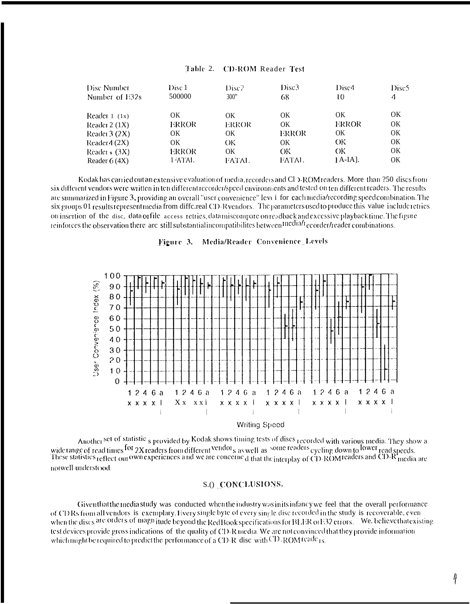| Disc Number<br>Number of E32s | Disc <sub>1</sub><br>500000 | Disc2<br>300" | Disc <sub>3</sub><br>68 | Disc4<br>10 | Disc5<br>4 |
|-------------------------------|-----------------------------|---------------|-------------------------|-------------|------------|
| Reader $1(1x)$                | OK                          | OK            | OΚ                      | OK.         | OK         |
| Reader $2(1X)$                | ERROR                       | ERROR         | OK                      | ERROR       | OK         |
| Reader $3(2X)$                | OK                          | OK            | ERROR                   | 0K          | OK         |
| Reader $4(2X)$                | OK                          | OК            | OΚ                      | OК          | OK         |
| Reader $(3X)$                 | ERROR                       | OK            | OК                      | OK.         | <b>OK</b>  |
| Reader $6(4X)$                | 1 ATAL                      | FATAL.        | FATAL.                  | $[A-IA]$ .  | OK         |

# Table 2. CD-ROM Reader Test

Kodak has carried out an extensive evaluation of media, recorders and CI > ROM readers. More than 250 discs from six different vendors were written in ten different recorder/speed environments and tested on ten different readers. The results are summarized in Figure 3, providing an overall "user convenience" level for each media/recording speedcombination. The six groups 01 results representmedia from diffe.real CD-R vendors. The parameters used to produce this value include retries on insertion of the disc, data of file access retries, datamiscompare on readback and excessive playback time. The figure reinforces the observation there are still substantial incompatibilites between medial ecorder/reader combinations.





**Writing Speed** 

Another set of statistic <sub>s</sub> provided by Kodak shows timing tests of discs recorded with various media. They show a<br>wide range of read times for 2X readers from different <sup>vendor</sup>s as well as <sup>some readers</sup> eyeling down to notwell understood.

### S.O CONCLUSIONS.

Given that the media study was conducted when the industry was in its infancy we feel that the overall performance of CD Rs from all vendors is exemplary. Every single byte of every single disc recorded in the study is recoverable, even when the discs are orders of magnitude beyond the Red Book specifications for BLER or E32 errors. We, believe that existing test devices provide gross indications of the quality of CD-R media. We are not convinced that they provide information which might be required to predict the performance of a CD-R disc with  $CD$ -ROM reade<sub>1s.</sub>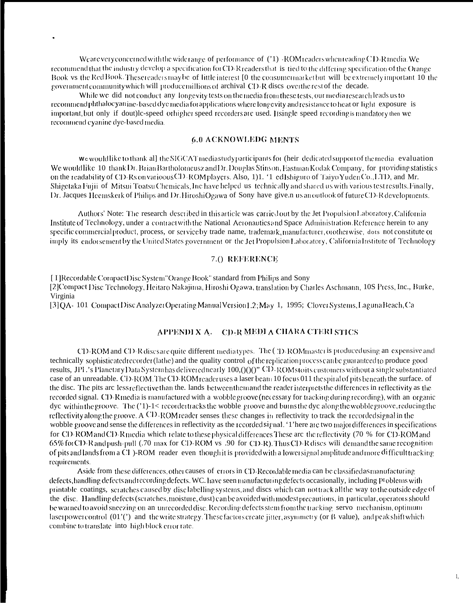We are very concerned with the wide range of performance of (21) -ROM readers when reading CD-R media. We recommend that the industry develop a specification for CD-R readers that is tied to the differing specification of the Orange Book vs the Red Book. These readers may be of little interest [0 the consumer market but will be extremely important 10 the government community which will produce millions of archival CD-R discs overtherest of the decade.

While we did not conduct any longevity tests on the media from these tests, our media research leads us to recommend phthalocyanine-based dye media for applications where longevity and resistance to heat or light exposure is important, but only if dout)le-speed othigher speed recorders are used. Itsingle speed recording is mandatory then we recommend cyanine dye-based media.

#### **6.0 ACKNOWLEDG MENTS**

We would like to thank all the SIGCAT media study participants for (heir dedicated support of the media evaluation We would like 10 thank Dr. Brian Bartholomeusz and Dr. Douglas Stinson, Eastman Kodak Company, for providing statistics on the readability of CD-Rs on varioous CD-ROM players. Also, 1)1. '1 ed1shiguro of Taiyo Yuden Co., LTD, and Mr. Shigetaka Fujii of Mitsui Toatsu Chemicals, Inc have helped us technically and shared us with various test results. Finally, Dr. Jacques Heemskerk of Philips and Dr. HiroshiOgawa of Sony have give.n us anoutlook of future CD-R developments.

Authors' Note: The research described in this article was carried out by the Jet Propulsion Laboratory, California Institute of Technology, under a contract with the National Acronautics and Space Administration. Reference herein to any specific commercial product, process, or service by trade name, trademark, manufacturer, orotherwise, dots not constitute or imply its endorsement by the United States government or the Jet Propulsion Laboratory, California Institute of Technology

# 7.() REFERENCE

[I] Recordable CompactDisc System "Orange Book" standard from Philips and Sony [2] Compact Disc Technology, Heitaro Nakajima, Hiroshi Ogawa, translation by Charles Aschmann, 10S Press, Inc., Burke, Virginia

[3] QA- 101 Compact Disc Analyzet Operating Manual Version 1.2; May 1, 1995; Clover Systems, Laguna Beach, Ca

# APPENDIXA. CD-R MEDI A CHARA CTERI STICS

CD-ROM and CD-R discs are quite-different mediatypes. The (2D-ROMmaster is produced using an expensive and technically sophisticated recorder (lathe) and the quality control of the replication process can be guaranteed to produce good results, JPL's Planetary Data System has delivered nearly 100, () () (CD-ROMs to its customers without a single substantiated case of an unreadable. CD-ROM. The CD-ROM reader uses a laser beam 10 focus 011 the spiral of pits beneath the surface. of the disc. The pits are less reflective than the. lands between them and the reader interprets the differences in reflectivity as the recorded signal. CD-R media is manufactured with a wobble groove (necessary for tracking during recording), with an organic  $\alpha$  dye within the groove. The  $(1)-1<$  recorder tracks the wobble groove and burns the dye along the wobble groove, reducing the reflectivity along the groove. A CD-ROM reader senses these changes in reflectivity to track the recorded signal in the wobble groove and sense the differences in reflectivity as the recorded signal. '1' here are two major differences in specifications for CD-ROM and CD-R media which relate to these physical differences These are the reflectivity (70 % for CD-ROM and 65% for CD-R and push-pull (.70 max for CD-ROM vs .90 for CD-R). Thus CD-R dises will demand the same recognition of pits and lands from a  $CI$ )-ROM reader even though it is provided with a lower signal amplitude and more difficult tracking requirements.

Aside from these differences, other causes of errors in CD-Recordable media can be classified as manufacturing defects, handling defects and recording defects. WC. have seen manufacturing defects occasionally, including Pt oblems with printable coatings, scratches caused by disclabelling systems, and discs which can not track all the way to the outside edge of the disc. Handling defects (scratches, moisture, dust) can be avoided with modest precautions, in particular, operators should be warned to avoid sneezing on an unrecorded disc. Recording defects stem from the tracking servo mechanism, optimum laser power control  $(01'')$  and the write strategy. These factors create jitter, asymmetry (or  $\beta$  value), and peak shift which combine to translate into high block error rate.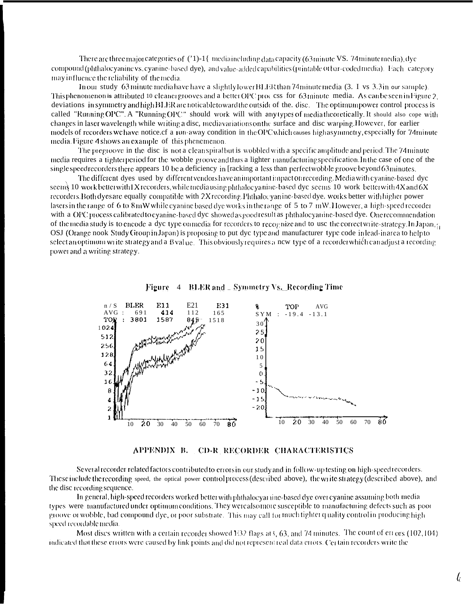There are three major categories of  $(21)$ -1{ mediaincluding data capacity (63 minute VS, 74 minute media), dye compound (phthalocyanine vs. cyanine-based dye), and value-added capabilities (printable ot bar-coded media). Each category may in fluence the reliability of the media.

In our study 63 minute media have have a slightly lower BLER than 74 minute media (3. I vs. 3.3 in our sample). This phenomenon is attributed 10 cleaner grooves and a better OPC proc css for 63 minute media. As can be seen in Figure 2. deviations in symmetry and high BLER are noticable toward the outside of the, disc. The optimum power control process is called "Running OPC". A "Running OPC" should work will with any types of media theoretically. It should also cope with changes in laser wavelength while writing a disc, mediavariations on the surface and disc warping. However, for earlier models of recorders we have notice cf a run-away condition in the OPC which causes high asymmetry, especially for 74 minute media. Figure 4 shows an example of this phenemenon.

The pregroove in the disc is not a clean spiral but is wobbled with a specific amplitude and period. The 74 minute media requires a tighterperiod for the wobble groove and thus a lighter manufacturing specification. In the case of one of the single speed recorders there appears 10 be a deficiency in [racking a less than perfect wobble groove beyond 63 minutes.

The different dyes used by different vendors have an important impact on recording. Media with cyanine-based dyc seems 10 work better with IX recorders, while media using phthalocyanine-based dyc seems 10 work better with  $4X$  and  $6X$ recorders. Both dyes are equally compatible with 2X recording. Phthalogyanine-based dye, works better with higher power lasers in the range of 6 to  $8 \text{ mW}$  while cyanine based dye works in the range of 5 to 7 mW. However, a high-speed recorder with a OPC process calibrated to evanine-based dye showed as goodresult as phthalocyanine-based dye. One recommendation of the media study is to encode a dyc type on media for recorders to recognize and to use the correct write-strategy. In Japan, g OSJ (Orange nook Study Group in Japan) is proposing to put dyc type and manufacturer type code in lead-in area to help to select an optimum write strategy and a B value. This obviously requires a new type of a recorder which can adjust a recording power and a writing strategy.



**BLER** and \_ Symmetry Vs. Recording Time Figure 4

APPENDIX B. CD-R RECORDER CHARACTERISTICS

Several recorder related factors contributed to errors in our study and in follow-up testing on high-speed recorders. These include the recording speed, the optical power control process (described above), the write strategy (described above), and the disc recording sequence.

In general, high-speed recorders worked better with phthalocyarine-based dye over cyanine assuming both media types were manufactured under optimum conditions. They were also more susceptible to manufacturing defects such as poor groove or wobble, bad compound dye, or poor substrate. This may call for much tighter quality control in producing high speed recordable media.

Most discs written with a certain recorder showed  $132$  flags at 3, 63, and 74 minutes. The count of errors (102,104) indicated that these errors were caused by link points and did not represent real data errors. Cet tain recorders write the